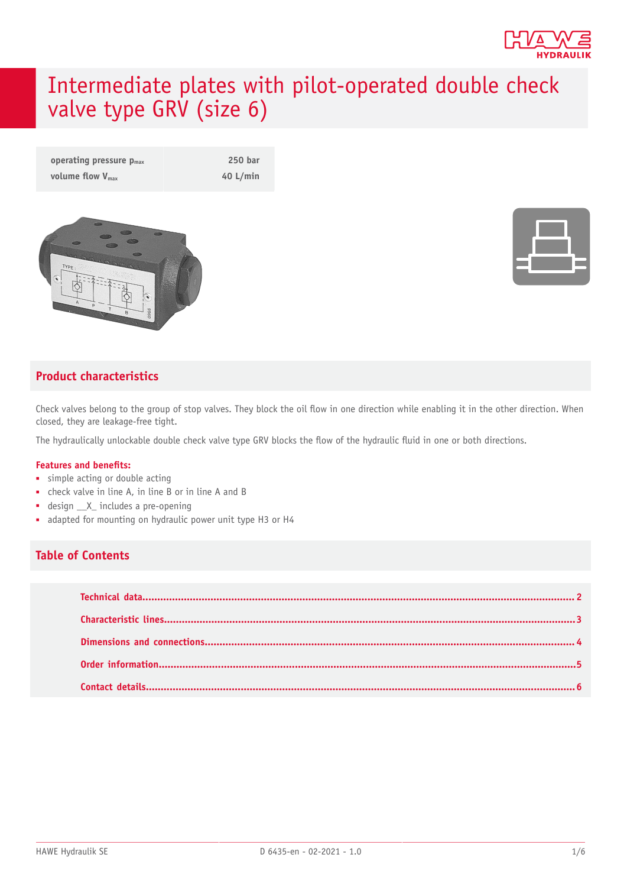

# Intermediate plates with pilot-operated double check valve type GRV (size 6)

| operating pressure $p_{max}$ | 250 bar    |
|------------------------------|------------|
| volume flow $V_{\text{max}}$ | 40 $L/min$ |





#### **Product characteristics**

Check valves belong to the group of stop valves. They block the oil flow in one direction while enabling it in the other direction. When closed, they are leakage-free tight.

The hydraulically unlockable double check valve type GRV blocks the flow of the hydraulic fluid in one or both directions.

#### **Features and benets:**

- simple acting or double acting
- check valve in line A, in line B or in line A and B
- design  $X_$  includes a pre-opening
- adapted for mounting on hydraulic power unit type H3 or H4

#### **Table of Contents**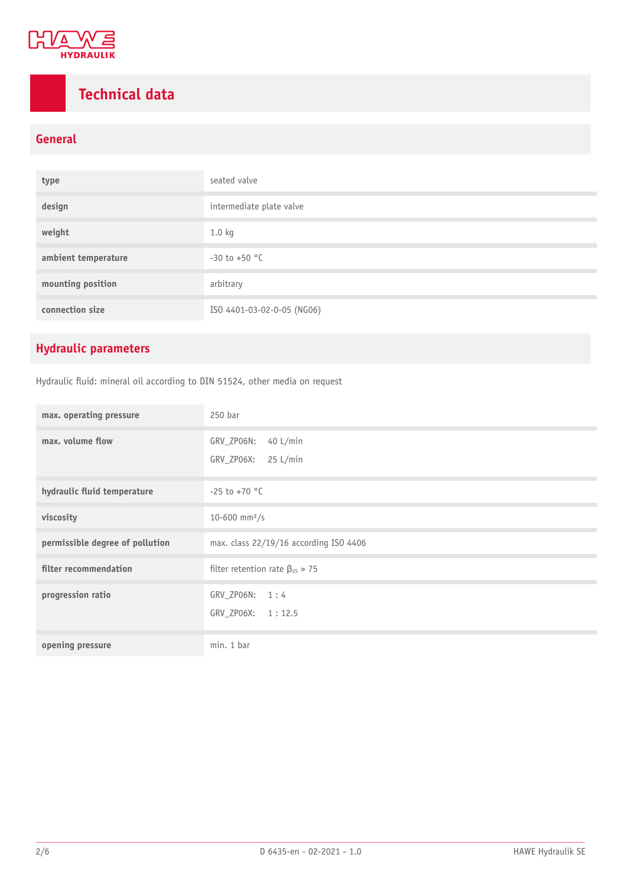

# <span id="page-1-0"></span>**Technical data**

#### **General**

| type                | seated valve               |
|---------------------|----------------------------|
| design              | intermediate plate valve   |
| weight              | 1.0 kg                     |
| ambient temperature | $-30$ to $+50$ °C          |
| mounting position   | arbitrary                  |
| connection size     | ISO 4401-03-02-0-05 (NG06) |

### **Hydraulic parameters**

Hydraulic fluid: mineral oil according to DIN 51524, other media on request

| max. operating pressure         | 250 bar                                                      |
|---------------------------------|--------------------------------------------------------------|
| max. volume flow                | GRV_ZP06N:<br>$40$ L/min<br>GRV_ZP06X:<br>$25 \text{ L/min}$ |
| hydraulic fluid temperature     | $-25$ to $+70$ °C                                            |
| viscosity                       | 10-600 mm <sup>2</sup> /s                                    |
| permissible degree of pollution | max. class 22/19/16 according ISO 4406                       |
| filter recommendation           | filter retention rate $\beta_{25} > 75$                      |
| progression ratio               | GRV ZPO6N: 1:4<br>GRV_ZP06X: 1:12.5                          |
| opening pressure                | min. 1 bar                                                   |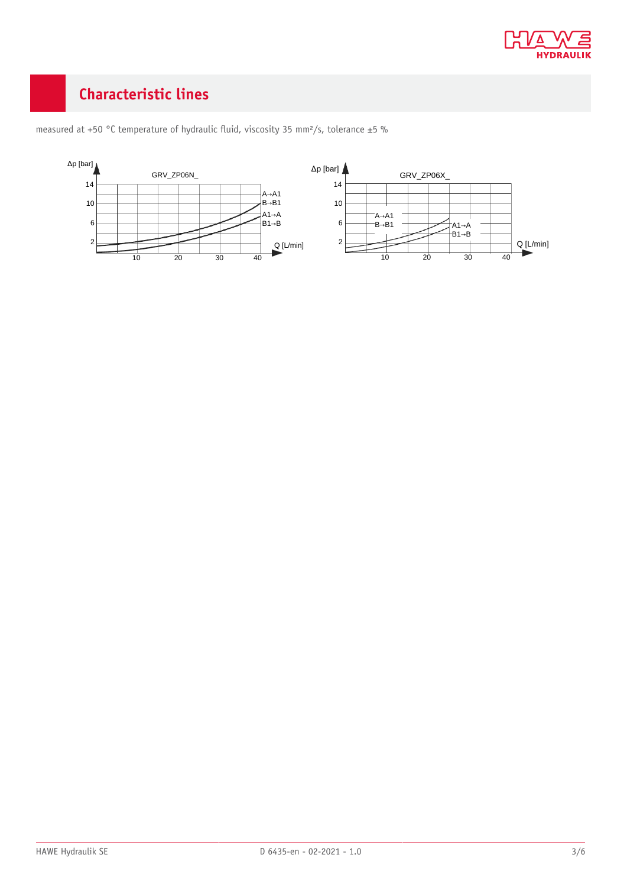

## <span id="page-2-0"></span>**Characteristic lines**



measured at +50 °C temperature of hydraulic fluid, viscosity 35 mm<sup>2</sup>/s, tolerance ±5 %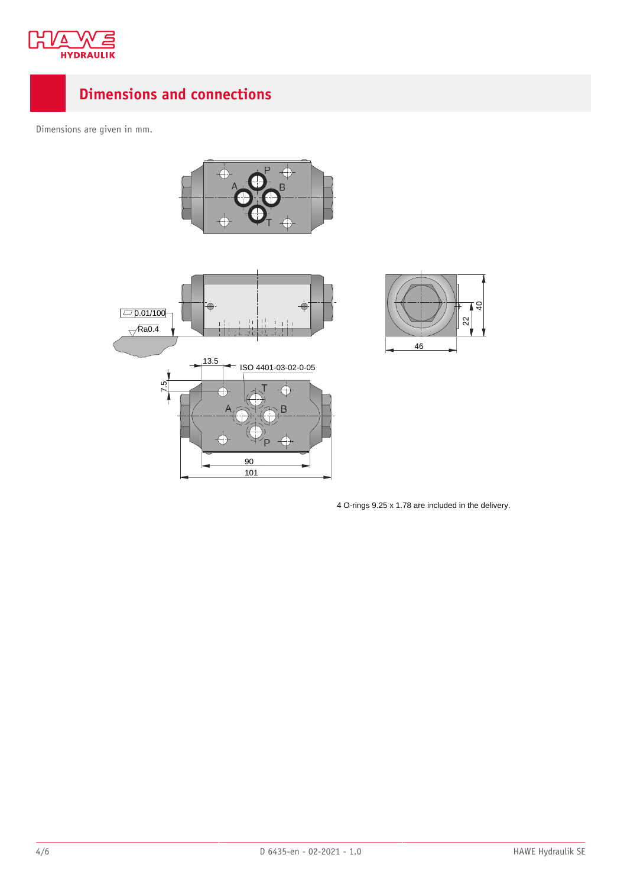

## <span id="page-3-0"></span>**Dimensions and connections**

Dimensions are given in mm.







4 O-rings 9.25 x 1.78 are included in the delivery.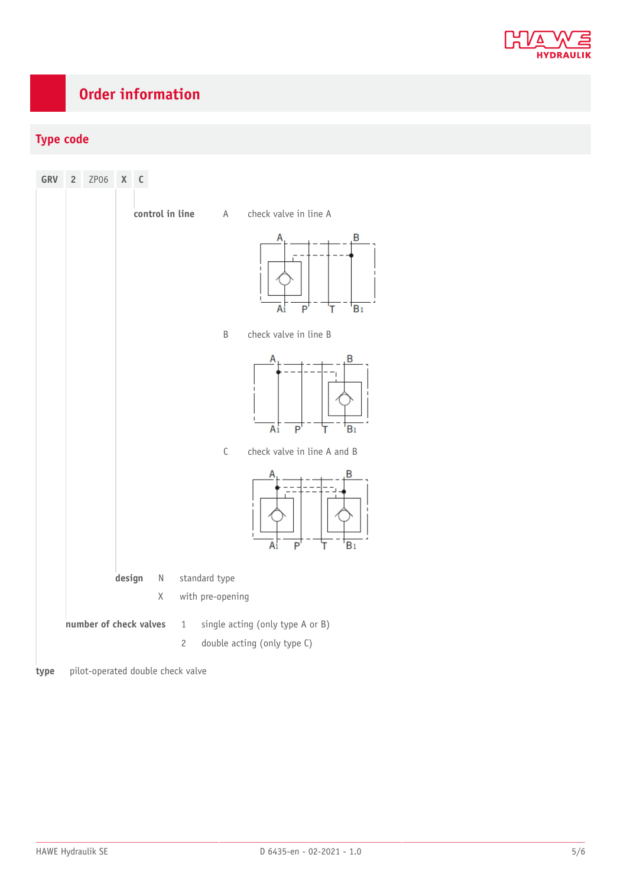

## <span id="page-4-0"></span>**Order information**

#### **Type code**



**type** pilot-operated double check valve